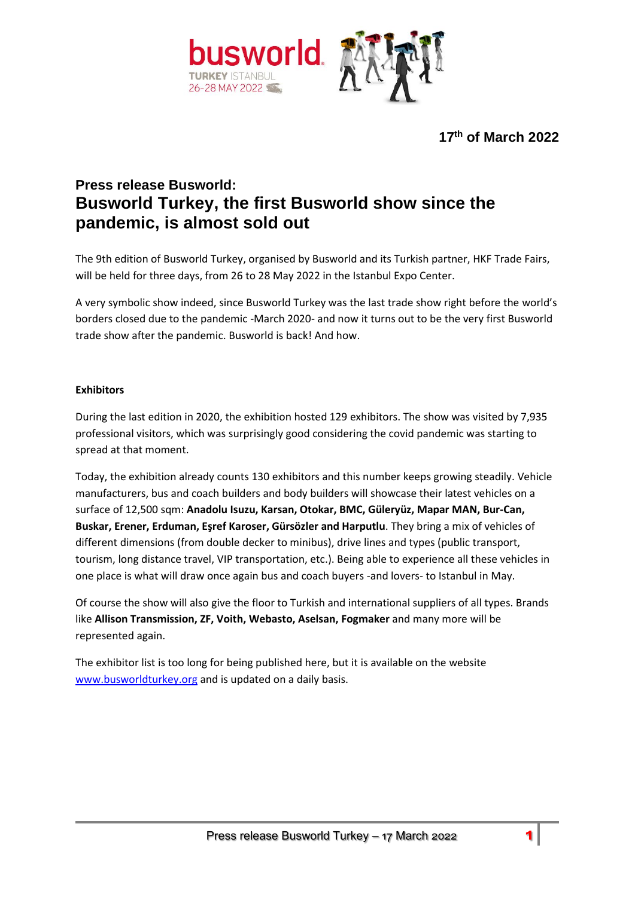

**17th of March 2022**

# **Press release Busworld: Busworld Turkey, the first Busworld show since the pandemic, is almost sold out**

The 9th edition of Busworld Turkey, organised by Busworld and its Turkish partner, HKF Trade Fairs, will be held for three days, from 26 to 28 May 2022 in the Istanbul Expo Center.

A very symbolic show indeed, since Busworld Turkey was the last trade show right before the world's borders closed due to the pandemic -March 2020- and now it turns out to be the very first Busworld trade show after the pandemic. Busworld is back! And how.

# **Exhibitors**

During the last edition in 2020, the exhibition hosted 129 exhibitors. The show was visited by 7,935 professional visitors, which was surprisingly good considering the covid pandemic was starting to spread at that moment.

Today, the exhibition already counts 130 exhibitors and this number keeps growing steadily. Vehicle manufacturers, bus and coach builders and body builders will showcase their latest vehicles on a surface of 12,500 sqm: **Anadolu Isuzu, Karsan, Otokar, BMC, Güleryüz, Mapar MAN, Bur-Can, Buskar, Erener, Erduman, Eşref Karoser, Gürsözler and Harputlu**. They bring a mix of vehicles of different dimensions (from double decker to minibus), drive lines and types (public transport, tourism, long distance travel, VIP transportation, etc.). Being able to experience all these vehicles in one place is what will draw once again bus and coach buyers -and lovers- to Istanbul in May.

Of course the show will also give the floor to Turkish and international suppliers of all types. Brands like **Allison Transmission, ZF, Voith, Webasto, Aselsan, Fogmaker** and many more will be represented again.

The exhibitor list is too long for being published here, but it is available on the website [www.busworldturkey.org](http://www.busworldturkey.org/) and is updated on a daily basis.